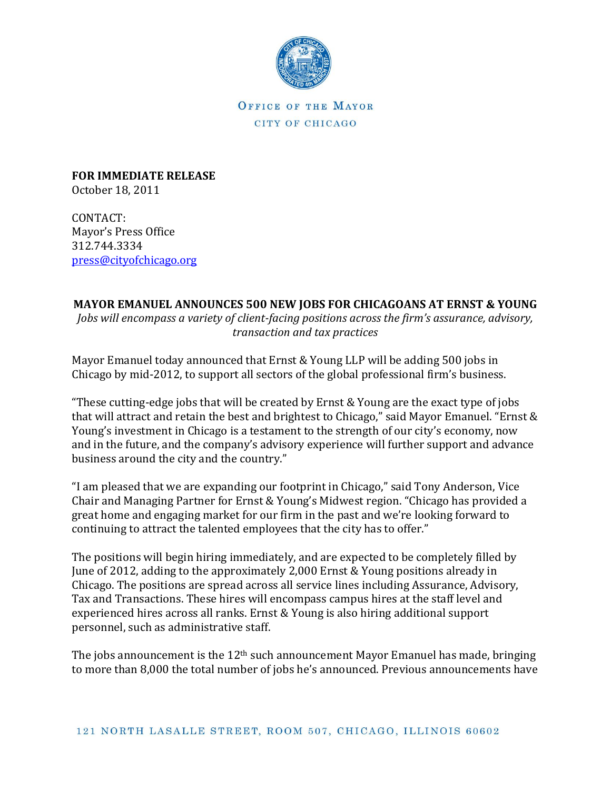

OFFICE OF THE MAYOR CITY OF CHICAGO

**FOR IMMEDIATE RELEASE** October 18, 2011

CONTACT: Mayor's Press Office 312.744.3334 [press@cityofchicago.org](mailto:press@cityofchicago.org)

## **MAYOR EMANUEL ANNOUNCES 500 NEW JOBS FOR CHICAGOANS AT ERNST & YOUNG**

*Jobs will encompass a variety of client-facing positions across the firm's assurance, advisory, transaction and tax practices*

Mayor Emanuel today announced that Ernst & Young LLP will be adding 500 jobs in Chicago by mid-2012, to support all sectors of the global professional firm's business.

"These cutting-edge jobs that will be created by Ernst & Young are the exact type of jobs that will attract and retain the best and brightest to Chicago," said Mayor Emanuel. "Ernst & Young's investment in Chicago is a testament to the strength of our city's economy, now and in the future, and the company's advisory experience will further support and advance business around the city and the country."

"I am pleased that we are expanding our footprint in Chicago," said Tony Anderson, Vice Chair and Managing Partner for Ernst & Young's Midwest region. "Chicago has provided a great home and engaging market for our firm in the past and we're looking forward to continuing to attract the talented employees that the city has to offer."

The positions will begin hiring immediately, and are expected to be completely filled by June of 2012, adding to the approximately 2,000 Ernst & Young positions already in Chicago. The positions are spread across all service lines including Assurance, Advisory, Tax and Transactions. These hires will encompass campus hires at the staff level and experienced hires across all ranks. Ernst & Young is also hiring additional support personnel, such as administrative staff.

The jobs announcement is the  $12<sup>th</sup>$  such announcement Mayor Emanuel has made, bringing to more than 8,000 the total number of jobs he's announced. Previous announcements have